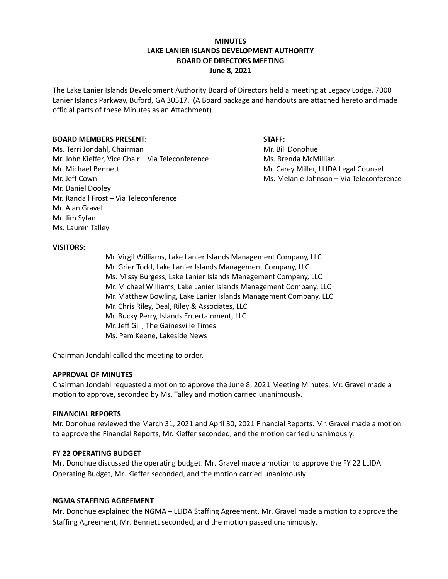# **MINUTES LAKE LANIER ISLANDS DEVELOPMENT AUTHORITY BOARD OF DIRECTORS MEETING June 8, 2021**

The Lake Lanier Islands Development Authority Board of Directors held a meeting at Legacy Lodge, 7000 Lanier Islands Parkway, Buford, GA 30517. (A Board package and handouts are attached hereto and made official parts of these Minutes as an Attachment)

## **BOARD MEMBERS PRESENT: STAFF:**

Ms. Terri Jondahl, Chairman Mr. Bill Donohue Mr. John Kieffer, Vice Chair – Via Teleconference Ms. Brenda McMillian Mr. Michael Bennett **Mr. Carey Miller, LLIDA Legal Counsel** Mr. Jeff Cown Ms. Melanie Johnson – Via Teleconference Mr. Daniel Dooley Mr. Randall Frost – Via Teleconference Mr. Alan Gravel Mr. Jim Syfan Ms. Lauren Talley

### **VISITORS:**

Mr. Virgil Williams, Lake Lanier Islands Management Company, LLC Mr. Grier Todd, Lake Lanier Islands Management Company, LLC Ms. Missy Burgess, Lake Lanier Islands Management Company, LLC Mr. Michael Williams, Lake Lanier Islands Management Company, LLC Mr. Matthew Bowling, Lake Lanier Islands Management Company, LLC Mr. Chris Riley, Deal, Riley & Associates, LLC Mr. Bucky Perry, Islands Entertainment, LLC Mr. Jeff Gill, The Gainesville Times Ms. Pam Keene, Lakeside News

Chairman Jondahl called the meeting to order.

### **APPROVAL OF MINUTES**

Chairman Jondahl requested a motion to approve the June 8, 2021 Meeting Minutes. Mr. Gravel made a motion to approve, seconded by Ms. Talley and motion carried unanimously.

### **FINANCIAL REPORTS**

Mr. Donohue reviewed the March 31, 2021 and April 30, 2021 Financial Reports. Mr. Gravel made a motion to approve the Financial Reports, Mr. Kieffer seconded, and the motion carried unanimously.

### **FY 22 OPERATING BUDGET**

Mr. Donohue discussed the operating budget. Mr. Gravel made a motion to approve the FY 22 LLIDA Operating Budget, Mr. Kieffer seconded, and the motion carried unanimously.

### **NGMA STAFFING AGREEMENT**

Mr. Donohue explained the NGMA – LLIDA Staffing Agreement. Mr. Gravel made a motion to approve the Staffing Agreement, Mr. Bennett seconded, and the motion passed unanimously.